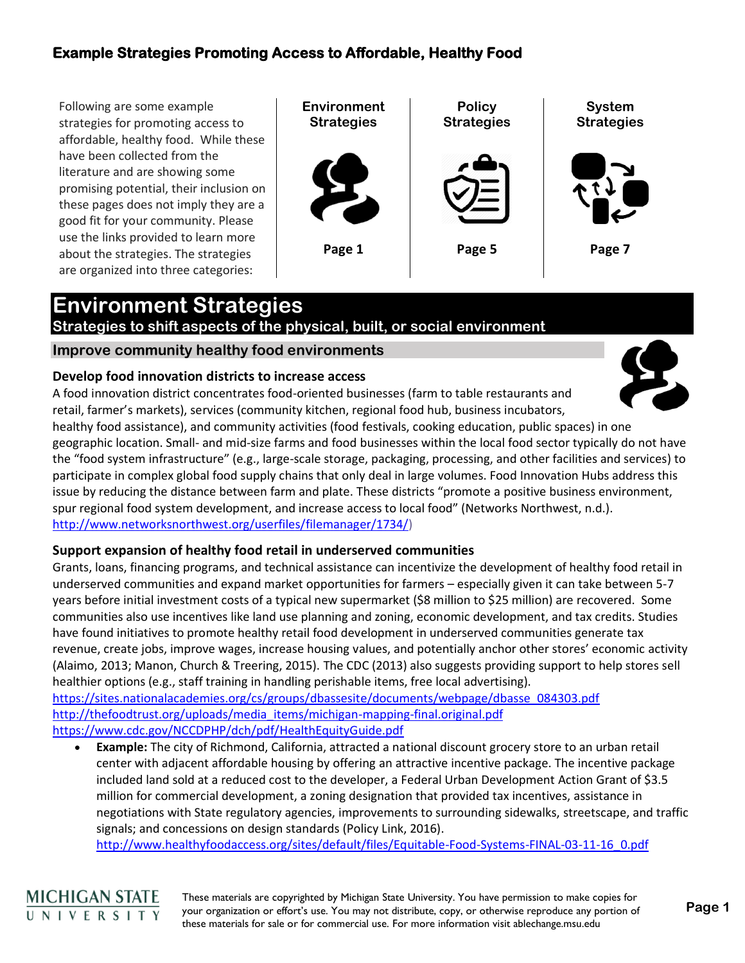Following are some example strategies for promoting access to affordable, healthy food. While these have been collected from the literature and are showing some promising potential, their inclusion on these pages does not imply they are a good fit for your community. Please use the links provided to learn more about the strategies. The strategies are organized into three categories:



# **Environment Strategies**

## **Strategies to shift aspects of the physical, built, or social environment**

### **Improve community healthy food environments**

### **Develop food innovation districts to increase access**

A food innovation district concentrates food-oriented businesses (farm to table restaurants and retail, farmer's markets), services (community kitchen, regional food hub, business incubators,



healthy food assistance), and community activities (food festivals, cooking education, public spaces) in one geographic location. Small- and mid-size farms and food businesses within the local food sector typically do not have the "food system infrastructure" (e.g., large-scale storage, packaging, processing, and other facilities and services) to participate in complex global food supply chains that only deal in large volumes. Food Innovation Hubs address this issue by reducing the distance between farm and plate. These districts "promote a positive business environment, spur regional food system development, and increase access to local food" (Networks Northwest, n.d.). [http://www.networksnorthwest.org/userfiles/filemanager/1734/\)](http://www.networksnorthwest.org/userfiles/filemanager/1734/)

### **Support expansion of healthy food retail in underserved communities**

Grants, loans, financing programs, and technical assistance can incentivize the development of healthy food retail in underserved communities and expand market opportunities for farmers – especially given it can take between 5-7 years before initial investment costs of a typical new supermarket (\$8 million to \$25 million) are recovered. Some communities also use incentives like land use planning and zoning, economic development, and tax credits. Studies have found initiatives to promote healthy retail food development in underserved communities generate tax revenue, create jobs, improve wages, increase housing values, and potentially anchor other stores' economic activity (Alaimo, 2013; Manon, Church & Treering, 2015). The CDC (2013) also suggests providing support to help stores sell healthier options (e.g., staff training in handling perishable items, free local advertising). [https://sites.nationalacademies.org/cs/groups/dbassesite/documents/webpage/dbasse\\_084303.pdf](https://sites.nationalacademies.org/cs/groups/dbassesite/documents/webpage/dbasse_084303.pdf) [http://thefoodtrust.org/uploads/media\\_items/michigan-mapping-final.original.pdf](http://thefoodtrust.org/uploads/media_items/michigan-mapping-final.original.pdf) 

<https://www.cdc.gov/NCCDPHP/dch/pdf/HealthEquityGuide.pdf>

• **Example:** The city of Richmond, California, attracted a national discount grocery store to an urban retail center with adjacent affordable housing by offering an attractive incentive package. The incentive package included land sold at a reduced cost to the developer, a Federal Urban Development Action Grant of \$3.5 million for commercial development, a zoning designation that provided tax incentives, assistance in negotiations with State regulatory agencies, improvements to surrounding sidewalks, streetscape, and traffic signals; and concessions on design standards (Policy Link, 2016).

[http://www.healthyfoodaccess.org/sites/default/files/Equitable-Food-Systems-FINAL-03-11-16\\_0.pdf](http://www.healthyfoodaccess.org/sites/default/files/Equitable-Food-Systems-FINAL-03-11-16_0.pdf)

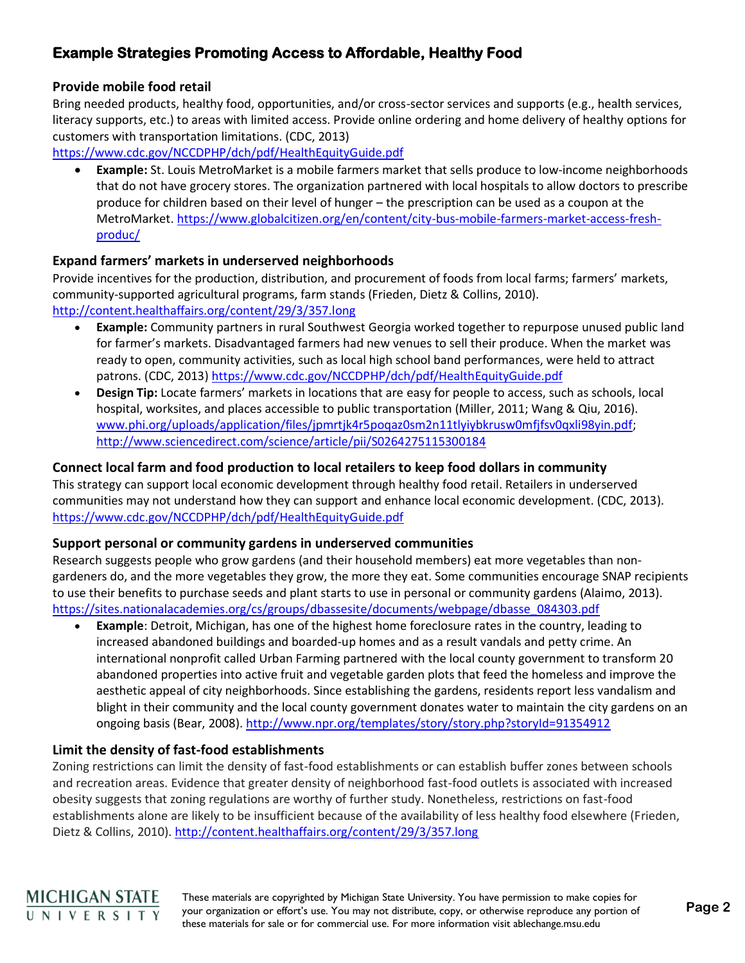### **Provide mobile food retail**

Bring needed products, healthy food, opportunities, and/or cross-sector services and supports (e.g., health services, literacy supports, etc.) to areas with limited access. Provide online ordering and home delivery of healthy options for customers with transportation limitations. (CDC, 2013)

<https://www.cdc.gov/NCCDPHP/dch/pdf/HealthEquityGuide.pdf>

• **Example:** St. Louis MetroMarket is a mobile farmers market that sells produce to low-income neighborhoods that do not have grocery stores. The organization partnered with local hospitals to allow doctors to prescribe produce for children based on their level of hunger – the prescription can be used as a coupon at the MetroMarket[. https://www.globalcitizen.org/en/content/city-bus-mobile-farmers-market-access-fresh](https://www.globalcitizen.org/en/content/city-bus-mobile-farmers-market-access-fresh-produc/)[produc/](https://www.globalcitizen.org/en/content/city-bus-mobile-farmers-market-access-fresh-produc/)

### **Expand farmers' markets in underserved neighborhoods**

Provide incentives for the production, distribution, and procurement of foods from local farms; farmers' markets, community-supported agricultural programs, farm stands (Frieden, Dietz & Collins, 2010). <http://content.healthaffairs.org/content/29/3/357.long>

- **Example:** Community partners in rural Southwest Georgia worked together to repurpose unused public land for farmer's markets. Disadvantaged farmers had new venues to sell their produce. When the market was ready to open, community activities, such as local high school band performances, were held to attract patrons. (CDC, 2013)<https://www.cdc.gov/NCCDPHP/dch/pdf/HealthEquityGuide.pdf>
- **Design Tip:** Locate farmers' markets in locations that are easy for people to access, such as schools, local hospital, worksites, and places accessible to public transportation (Miller, 2011; Wang & Qiu, 2016). [www.phi.org/uploads/application/files/jpmrtjk4r5poqaz0sm2n11tlyiybkrusw0mfjfsv0qxli98yin.pdf;](http://www.phi.org/uploads/application/files/jpmrtjk4r5poqaz0sm2n11tlyiybkrusw0mfjfsv0qxli98yin.pdf) <http://www.sciencedirect.com/science/article/pii/S0264275115300184>

### **Connect local farm and food production to local retailers to keep food dollars in community**

This strategy can support local economic development through healthy food retail. Retailers in underserved communities may not understand how they can support and enhance local economic development. (CDC, 2013). <https://www.cdc.gov/NCCDPHP/dch/pdf/HealthEquityGuide.pdf>

### **Support personal or community gardens in underserved communities**

Research suggests people who grow gardens (and their household members) eat more vegetables than nongardeners do, and the more vegetables they grow, the more they eat. Some communities encourage SNAP recipients to use their benefits to purchase seeds and plant starts to use in personal or community gardens (Alaimo, 2013). [https://sites.nationalacademies.org/cs/groups/dbassesite/documents/webpage/dbasse\\_084303.pdf](https://sites.nationalacademies.org/cs/groups/dbassesite/documents/webpage/dbasse_084303.pdf)

• **Example**: Detroit, Michigan, has one of the highest home foreclosure rates in the country, leading to increased abandoned buildings and boarded-up homes and as a result vandals and petty crime. An international nonprofit called Urban Farming partnered with the local county government to transform 20 abandoned properties into active fruit and vegetable garden plots that feed the homeless and improve the aesthetic appeal of city neighborhoods. Since establishing the gardens, residents report less vandalism and blight in their community and the local county government donates water to maintain the city gardens on an ongoing basis (Bear, 2008).<http://www.npr.org/templates/story/story.php?storyId=91354912>

### **Limit the density of fast-food establishments**

Zoning restrictions can limit the density of fast-food establishments or can establish buffer zones between schools and recreation areas. Evidence that greater density of neighborhood fast-food outlets is associated with increased obesity suggests that zoning regulations are worthy of further study. Nonetheless, restrictions on fast-food establishments alone are likely to be insufficient because of the availability of less healthy food elsewhere (Frieden, Dietz & Collins, 2010).<http://content.healthaffairs.org/content/29/3/357.long>

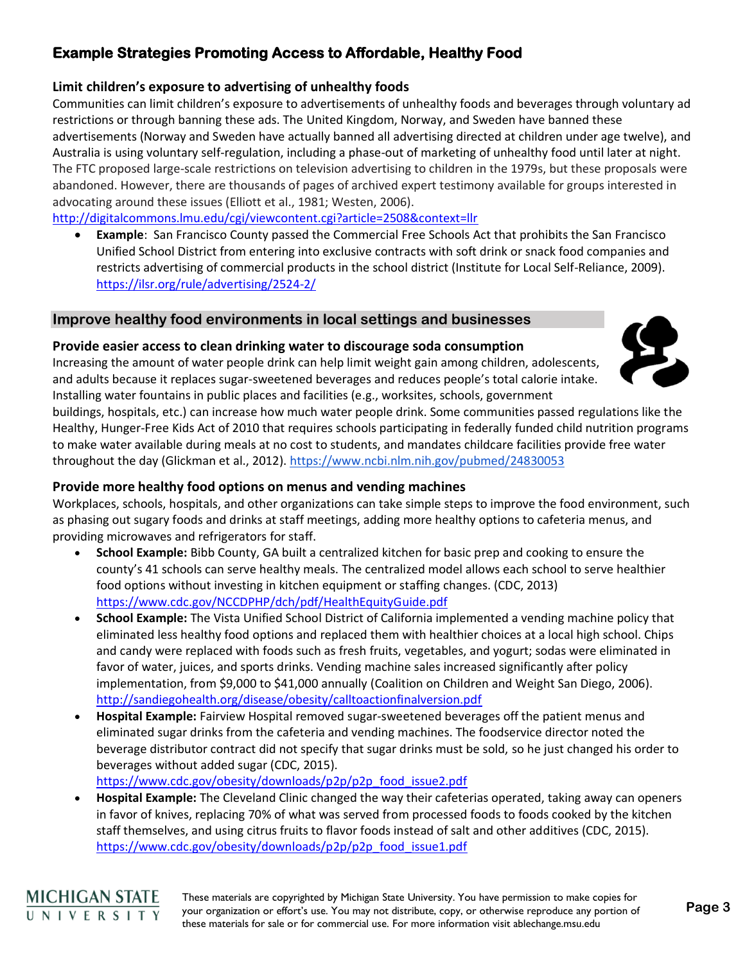### **Limit children's exposure to advertising of unhealthy foods**

Communities can limit children's exposure to advertisements of unhealthy foods and beverages through voluntary ad restrictions or through banning these ads. The United Kingdom, Norway, and Sweden have banned these advertisements (Norway and Sweden have actually banned all advertising directed at children under age twelve), and Australia is using voluntary self-regulation, including a phase-out of marketing of unhealthy food until later at night. The FTC proposed large-scale restrictions on television advertising to children in the 1979s, but these proposals were abandoned. However, there are thousands of pages of archived expert testimony available for groups interested in advocating around these issues (Elliott et al., 1981; Westen, 2006).

<http://digitalcommons.lmu.edu/cgi/viewcontent.cgi?article=2508&context=llr>

• **Example**: San Francisco County passed the Commercial Free Schools Act that prohibits the San Francisco Unified School District from entering into exclusive contracts with soft drink or snack food companies and restricts advertising of commercial products in the school district (Institute for Local Self-Reliance, 2009). <https://ilsr.org/rule/advertising/2524-2/>

### **Improve healthy food environments in local settings and businesses**

### **Provide easier access to clean drinking water to discourage soda consumption**

Increasing the amount of water people drink can help limit weight gain among children, adolescents, and adults because it replaces sugar-sweetened beverages and reduces people's total calorie intake. Installing water fountains in public places and facilities (e.g., worksites, schools, government



buildings, hospitals, etc.) can increase how much water people drink. Some communities passed regulations like the Healthy, Hunger-Free Kids Act of 2010 that requires schools participating in federally funded child nutrition programs to make water available during meals at no cost to students, and mandates childcare facilities provide free water throughout the day (Glickman et al., 2012).<https://www.ncbi.nlm.nih.gov/pubmed/24830053>

### **Provide more healthy food options on menus and vending machines**

Workplaces, schools, hospitals, and other organizations can take simple steps to improve the food environment, such as phasing out sugary foods and drinks at staff meetings, adding more healthy options to cafeteria menus, and providing microwaves and refrigerators for staff.

- **School Example:** Bibb County, GA built a centralized kitchen for basic prep and cooking to ensure the county's 41 schools can serve healthy meals. The centralized model allows each school to serve healthier food options without investing in kitchen equipment or staffing changes. (CDC, 2013) <https://www.cdc.gov/NCCDPHP/dch/pdf/HealthEquityGuide.pdf>
- **School Example:** The Vista Unified School District of California implemented a vending machine policy that eliminated less healthy food options and replaced them with healthier choices at a local high school. Chips and candy were replaced with foods such as fresh fruits, vegetables, and yogurt; sodas were eliminated in favor of water, juices, and sports drinks. Vending machine sales increased significantly after policy implementation, from \$9,000 to \$41,000 annually (Coalition on Children and Weight San Diego, 2006). <http://sandiegohealth.org/disease/obesity/calltoactionfinalversion.pdf>
- **Hospital Example:** Fairview Hospital removed sugar-sweetened beverages off the patient menus and eliminated sugar drinks from the cafeteria and vending machines. The foodservice director noted the beverage distributor contract did not specify that sugar drinks must be sold, so he just changed his order to beverages without added sugar (CDC, 2015).

[https://www.cdc.gov/obesity/downloads/p2p/p2p\\_food\\_issue2.pdf](https://www.cdc.gov/obesity/downloads/p2p/p2p_food_issue2.pdf)

• **Hospital Example:** The Cleveland Clinic changed the way their cafeterias operated, taking away can openers in favor of knives, replacing 70% of what was served from processed foods to foods cooked by the kitchen staff themselves, and using citrus fruits to flavor foods instead of salt and other additives (CDC, 2015). [https://www.cdc.gov/obesity/downloads/p2p/p2p\\_food\\_issue1.pdf](https://www.cdc.gov/obesity/downloads/p2p/p2p_food_issue1.pdf)

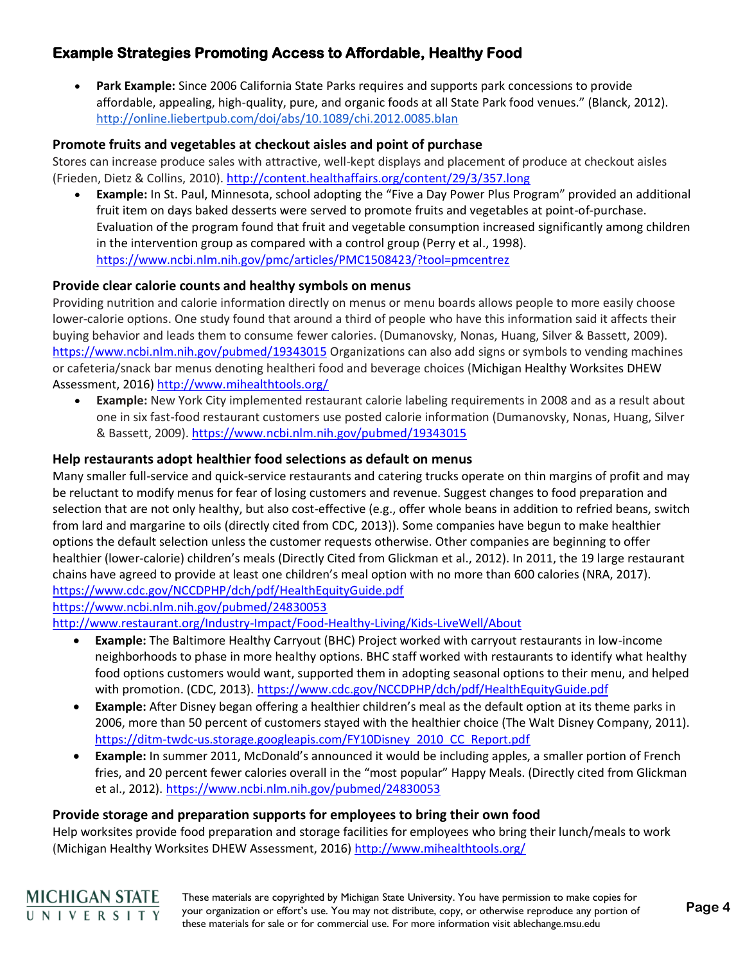• **Park Example:** Since 2006 California State Parks requires and supports park concessions to provide affordable, appealing, high-quality, pure, and organic foods at all State Park food venues." (Blanck, 2012). <http://online.liebertpub.com/doi/abs/10.1089/chi.2012.0085.blan>

### **Promote fruits and vegetables at checkout aisles and point of purchase**

Stores can increase produce sales with attractive, well-kept displays and placement of produce at checkout aisles (Frieden, Dietz & Collins, 2010).<http://content.healthaffairs.org/content/29/3/357.long>

• **Example:** In St. Paul, Minnesota, school adopting the "Five a Day Power Plus Program" provided an additional fruit item on days baked desserts were served to promote fruits and vegetables at point-of-purchase. Evaluation of the program found that fruit and vegetable consumption increased significantly among children in the intervention group as compared with a control group (Perry et al., 1998). <https://www.ncbi.nlm.nih.gov/pmc/articles/PMC1508423/?tool=pmcentrez>

#### **Provide clear calorie counts and healthy symbols on menus**

Providing nutrition and calorie information directly on menus or menu boards allows people to more easily choose lower-calorie options. One study found that around a third of people who have this information said it affects their buying behavior and leads them to consume fewer calories. (Dumanovsky, Nonas, Huang, Silver & Bassett, 2009). <https://www.ncbi.nlm.nih.gov/pubmed/19343015> Organizations can also add signs or symbols to vending machines or cafeteria/snack bar menus denoting healtheri food and beverage choices (Michigan Healthy Worksites DHEW Assessment, 2016)<http://www.mihealthtools.org/>

• **Example:** New York City implemented restaurant calorie labeling requirements in 2008 and as a result about one in six fast-food restaurant customers use posted calorie information (Dumanovsky, Nonas, Huang, Silver & Bassett, 2009).<https://www.ncbi.nlm.nih.gov/pubmed/19343015>

#### **Help restaurants adopt healthier food selections as default on menus**

Many smaller full-service and quick-service restaurants and catering trucks operate on thin margins of profit and may be reluctant to modify menus for fear of losing customers and revenue. Suggest changes to food preparation and selection that are not only healthy, but also cost-effective (e.g., offer whole beans in addition to refried beans, switch from lard and margarine to oils (directly cited from CDC, 2013)). Some companies have begun to make healthier options the default selection unless the customer requests otherwise. Other companies are beginning to offer healthier (lower-calorie) children's meals (Directly Cited from Glickman et al., 2012). In 2011, the 19 large restaurant chains have agreed to provide at least one children's meal option with no more than 600 calories (NRA, 2017). <https://www.cdc.gov/NCCDPHP/dch/pdf/HealthEquityGuide.pdf>

<https://www.ncbi.nlm.nih.gov/pubmed/24830053>

<http://www.restaurant.org/Industry-Impact/Food-Healthy-Living/Kids-LiveWell/About>

- **Example:** The Baltimore Healthy Carryout (BHC) Project worked with carryout restaurants in low-income neighborhoods to phase in more healthy options. BHC staff worked with restaurants to identify what healthy food options customers would want, supported them in adopting seasonal options to their menu, and helped with promotion. (CDC, 2013).<https://www.cdc.gov/NCCDPHP/dch/pdf/HealthEquityGuide.pdf>
- **Example:** After Disney began offering a healthier children's meal as the default option at its theme parks in 2006, more than 50 percent of customers stayed with the healthier choice (The Walt Disney Company, 2011). [https://ditm-twdc-us.storage.googleapis.com/FY10Disney\\_2010\\_CC\\_Report.pdf](https://ditm-twdc-us.storage.googleapis.com/FY10Disney_2010_CC_Report.pdf)
- **Example:** In summer 2011, McDonald's announced it would be including apples, a smaller portion of French fries, and 20 percent fewer calories overall in the "most popular" Happy Meals. (Directly cited from Glickman et al., 2012).<https://www.ncbi.nlm.nih.gov/pubmed/24830053>

### **Provide storage and preparation supports for employees to bring their own food**

Help worksites provide food preparation and storage facilities for employees who bring their lunch/meals to work (Michigan Healthy Worksites DHEW Assessment, 2016)<http://www.mihealthtools.org/>

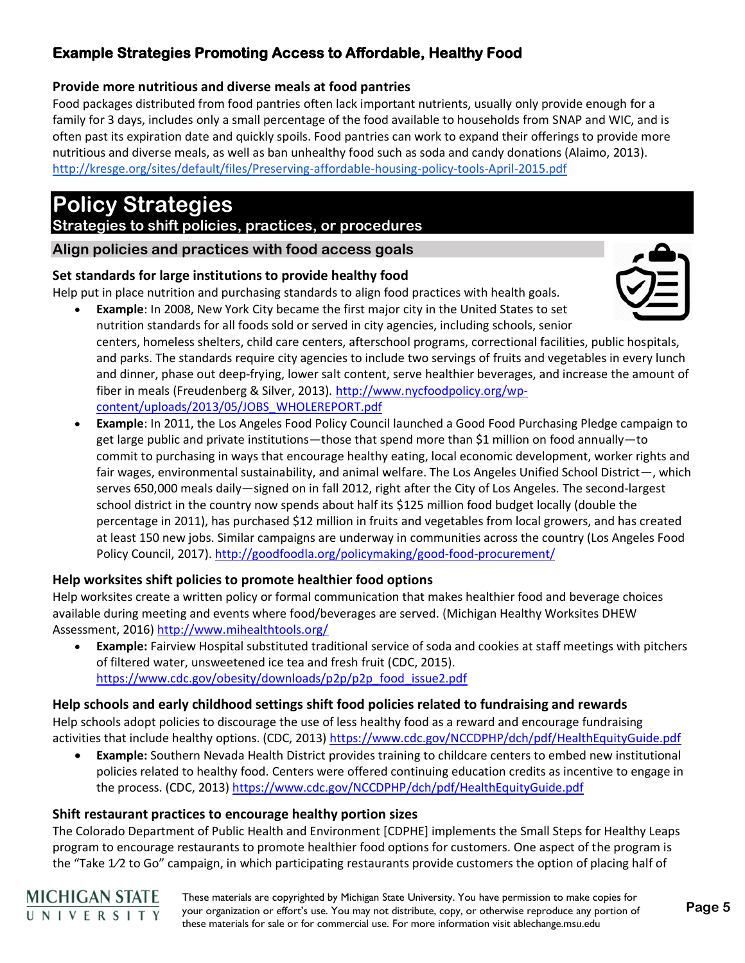### **Provide more nutritious and diverse meals at food pantries**

Food packages distributed from food pantries often lack important nutrients, usually only provide enough for a family for 3 days, includes only a small percentage of the food available to households from SNAP and WIC, and is often past its expiration date and quickly spoils. Food pantries can work to expand their offerings to provide more nutritious and diverse meals, as well as ban unhealthy food such as soda and candy donations (Alaimo, 2013). <http://kresge.org/sites/default/files/Preserving-affordable-housing-policy-tools-April-2015.pdf>

# **Policy Strategies**

### **Strategies to shift policies, practices, or procedures**

**Align policies and practices with food access goals**

### **Set standards for large institutions to provide healthy food**

Help put in place nutrition and purchasing standards to align food practices with health goals.



- **Example:** In 2008, New York City became the first major city in the United States to set nutrition standards for all foods sold or served in city agencies, including schools, senior centers, homeless shelters, child care centers, afterschool programs, correctional facilities, public hospitals, and parks. The standards require city agencies to include two servings of fruits and vegetables in every lunch and dinner, phase out deep-frying, lower salt content, serve healthier beverages, and increase the amount of fiber in meals (Freudenberg & Silver, 2013). [http://www.nycfoodpolicy.org/wp](http://www.nycfoodpolicy.org/wp-content/uploads/2013/05/JOBS_WHOLEREPORT.pdf)[content/uploads/2013/05/JOBS\\_WHOLEREPORT.pdf](http://www.nycfoodpolicy.org/wp-content/uploads/2013/05/JOBS_WHOLEREPORT.pdf)
- **Example**: In 2011, the Los Angeles Food Policy Council launched a Good Food Purchasing Pledge campaign to get large public and private institutions—those that spend more than \$1 million on food annually—to commit to purchasing in ways that encourage healthy eating, local economic development, worker rights and fair wages, environmental sustainability, and animal welfare. The Los Angeles Unified School District—, which serves 650,000 meals daily—signed on in fall 2012, right after the City of Los Angeles. The second-largest school district in the country now spends about half its \$125 million food budget locally (double the percentage in 2011), has purchased \$12 million in fruits and vegetables from local growers, and has created at least 150 new jobs. Similar campaigns are underway in communities across the country (Los Angeles Food Policy Council, 2017).<http://goodfoodla.org/policymaking/good-food-procurement/>

### **Help worksites shift policies to promote healthier food options**

Help worksites create a written policy or formal communication that makes healthier food and beverage choices available during meeting and events where food/beverages are served. (Michigan Healthy Worksites DHEW Assessment, 2016)<http://www.mihealthtools.org/>

• **Example:** Fairview Hospital substituted traditional service of soda and cookies at staff meetings with pitchers of filtered water, unsweetened ice tea and fresh fruit (CDC, 2015). [https://www.cdc.gov/obesity/downloads/p2p/p2p\\_food\\_issue2.pdf](https://www.cdc.gov/obesity/downloads/p2p/p2p_food_issue2.pdf)

## **Help schools and early childhood settings shift food policies related to fundraising and rewards**

Help schools adopt policies to discourage the use of less healthy food as a reward and encourage fundraising activities that include healthy options. (CDC, 2013)<https://www.cdc.gov/NCCDPHP/dch/pdf/HealthEquityGuide.pdf>

• **Example:** Southern Nevada Health District provides training to childcare centers to embed new institutional policies related to healthy food. Centers were offered continuing education credits as incentive to engage in the process. (CDC, 2013)<https://www.cdc.gov/NCCDPHP/dch/pdf/HealthEquityGuide.pdf>

### **Shift restaurant practices to encourage healthy portion sizes**

The Colorado Department of Public Health and Environment [CDPHE] implements the Small Steps for Healthy Leaps program to encourage restaurants to promote healthier food options for customers. One aspect of the program is the "Take 1⁄2 to Go" campaign, in which participating restaurants provide customers the option of placing half of

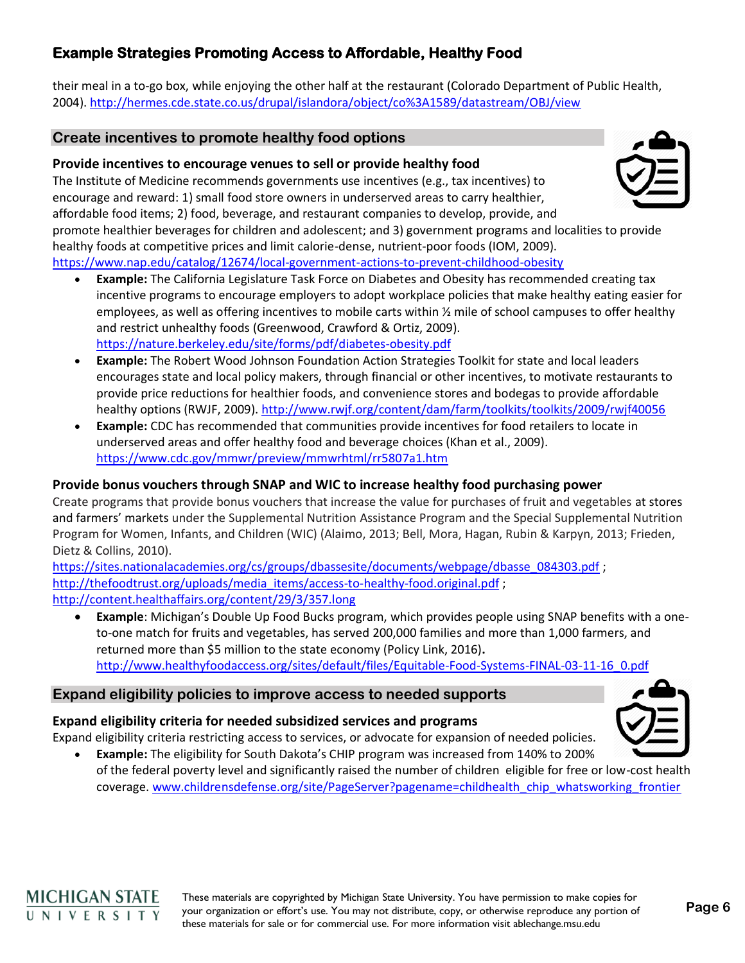their meal in a to-go box, while enjoying the other half at the restaurant (Colorado Department of Public Health, 2004).<http://hermes.cde.state.co.us/drupal/islandora/object/co%3A1589/datastream/OBJ/view>

### **Create incentives to promote healthy food options**

### **Provide incentives to encourage venues to sell or provide healthy food**

The Institute of Medicine recommends governments use incentives (e.g., tax incentives) to encourage and reward: 1) small food store owners in underserved areas to carry healthier, affordable food items; 2) food, beverage, and restaurant companies to develop, provide, and promote healthier beverages for children and adolescent; and 3) government programs and localities to provide healthy foods at competitive prices and limit calorie-dense, nutrient-poor foods (IOM, 2009). <https://www.nap.edu/catalog/12674/local-government-actions-to-prevent-childhood-obesity>

- **Example:** The California Legislature Task Force on Diabetes and Obesity has recommended creating tax incentive programs to encourage employers to adopt workplace policies that make healthy eating easier for employees, as well as offering incentives to mobile carts within ½ mile of school campuses to offer healthy and restrict unhealthy foods (Greenwood, Crawford & Ortiz, 2009). <https://nature.berkeley.edu/site/forms/pdf/diabetes-obesity.pdf>
- **Example:** The Robert Wood Johnson Foundation Action Strategies Toolkit for state and local leaders encourages state and local policy makers, through financial or other incentives, to motivate restaurants to provide price reductions for healthier foods, and convenience stores and bodegas to provide affordable healthy options (RWJF, 2009).<http://www.rwjf.org/content/dam/farm/toolkits/toolkits/2009/rwjf40056>
- **Example:** CDC has recommended that communities provide incentives for food retailers to locate in underserved areas and offer healthy food and beverage choices (Khan et al., 2009). <https://www.cdc.gov/mmwr/preview/mmwrhtml/rr5807a1.htm>

### **Provide bonus vouchers through SNAP and WIC to increase healthy food purchasing power**

Create programs that provide bonus vouchers that increase the value for purchases of fruit and vegetables at stores and farmers' markets under the Supplemental Nutrition Assistance Program and the Special Supplemental Nutrition Program for Women, Infants, and Children (WIC) (Alaimo, 2013; Bell, Mora, Hagan, Rubin & Karpyn, 2013; Frieden, Dietz & Collins, 2010).

[https://sites.nationalacademies.org/cs/groups/dbassesite/documents/webpage/dbasse\\_084303.pdf](https://sites.nationalacademies.org/cs/groups/dbassesite/documents/webpage/dbasse_084303.pdf) ; [http://thefoodtrust.org/uploads/media\\_items/access-to-healthy-food.original.pdf](http://thefoodtrust.org/uploads/media_items/access-to-healthy-food.original.pdf); <http://content.healthaffairs.org/content/29/3/357.long>

• **Example**: Michigan's Double Up Food Bucks program, which provides people using SNAP benefits with a oneto-one match for fruits and vegetables, has served 200,000 families and more than 1,000 farmers, and returned more than \$5 million to the state economy (Policy Link, 2016)**.**  [http://www.healthyfoodaccess.org/sites/default/files/Equitable-Food-Systems-FINAL-03-11-16\\_0.pdf](http://www.healthyfoodaccess.org/sites/default/files/Equitable-Food-Systems-FINAL-03-11-16_0.pdf)

### **Expand eligibility policies to improve access to needed supports**

### **Expand eligibility criteria for needed subsidized services and programs**

Expand eligibility criteria restricting access to services, or advocate for expansion of needed policies. • **Example:** The eligibility for South Dakota's CHIP program was increased from 140% to 200%

of the federal poverty level and significantly raised the number of children eligible for free or low-cost health coverage. [www.childrensdefense.org/site/PageServer?pagename=childhealth\\_chip\\_whatsworking\\_frontier](http://www.childrensdefense.org/site/PageServer?pagename=childhealth_chip_whatsworking_frontier)



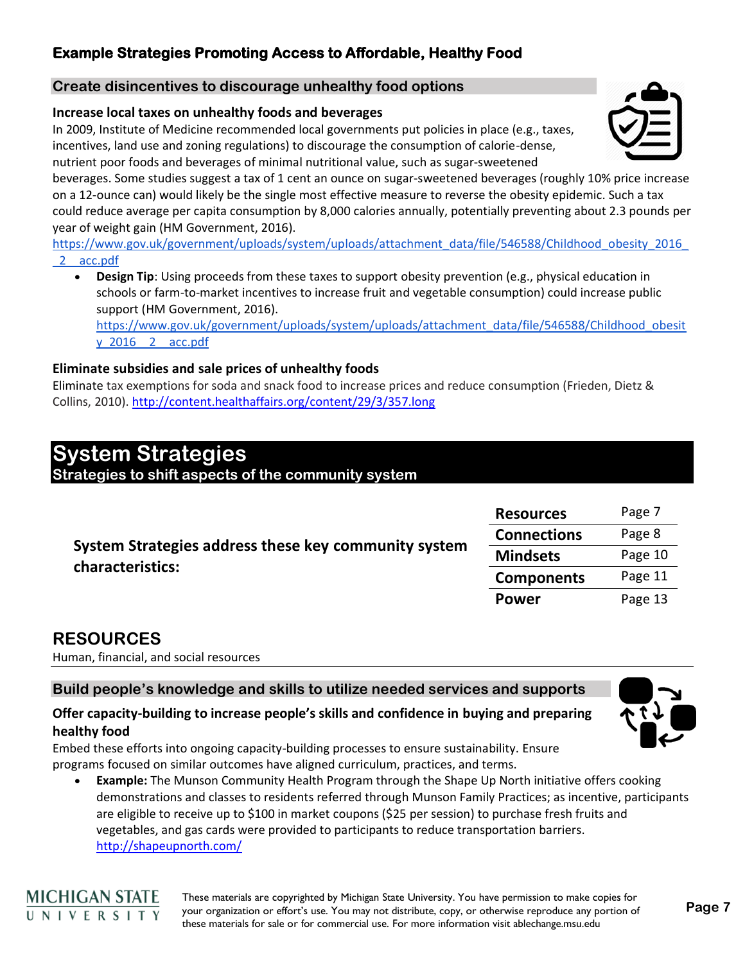### **Create disincentives to discourage unhealthy food options**

### **Increase local taxes on unhealthy foods and beverages**

In 2009, Institute of Medicine recommended local governments put policies in place (e.g., taxes, incentives, land use and zoning regulations) to discourage the consumption of calorie-dense, nutrient poor foods and beverages of minimal nutritional value, such as sugar-sweetened

beverages. Some studies suggest a tax of 1 cent an ounce on sugar-sweetened beverages (roughly 10% price increase on a 12-ounce can) would likely be the single most effective measure to reverse the obesity epidemic. Such a tax could reduce average per capita consumption by 8,000 calories annually, potentially preventing about 2.3 pounds per year of weight gain (HM Government, 2016).

[https://www.gov.uk/government/uploads/system/uploads/attachment\\_data/file/546588/Childhood\\_obesity\\_2016\\_](https://www.gov.uk/government/uploads/system/uploads/attachment_data/file/546588/Childhood_obesity_2016__2__acc.pdf) [\\_2\\_\\_acc.pdf](https://www.gov.uk/government/uploads/system/uploads/attachment_data/file/546588/Childhood_obesity_2016__2__acc.pdf)

• **Design Tip**: Using proceeds from these taxes to support obesity prevention (e.g., physical education in schools or farm-to-market incentives to increase fruit and vegetable consumption) could increase public support (HM Government, 2016).

[https://www.gov.uk/government/uploads/system/uploads/attachment\\_data/file/546588/Childhood\\_obesit](https://www.gov.uk/government/uploads/system/uploads/attachment_data/file/546588/Childhood_obesity_2016__2__acc.pdf) [y\\_2016\\_\\_2\\_\\_acc.pdf](https://www.gov.uk/government/uploads/system/uploads/attachment_data/file/546588/Childhood_obesity_2016__2__acc.pdf)

### **Eliminate subsidies and sale prices of unhealthy foods**

Eliminate tax exemptions for soda and snack food to increase prices and reduce consumption (Frieden, Dietz & Collins, 2010)[. http://content.healthaffairs.org/content/29/3/357.long](http://content.healthaffairs.org/content/29/3/357.long)

# **System Strategies**

**Strategies to shift aspects of the community system**

| System Strategies address these key community system<br>characteristics: | <b>Resources</b>   | Page 7  |
|--------------------------------------------------------------------------|--------------------|---------|
|                                                                          | <b>Connections</b> | Page 8  |
|                                                                          | <b>Mindsets</b>    | Page 10 |
|                                                                          | <b>Components</b>  | Page 11 |
|                                                                          | <b>Power</b>       | Page 13 |

## **RESOURCES**

Human, financial, and social resources

### **Build people's knowledge and skills to utilize needed services and supports**

### **Offer capacity-building to increase people's skills and confidence in buying and preparing healthy food**

Embed these efforts into ongoing capacity-building processes to ensure sustainability. Ensure programs focused on similar outcomes have aligned curriculum, practices, and terms.

• **Example:** The Munson Community Health Program through the Shape Up North initiative offers cooking demonstrations and classes to residents referred through Munson Family Practices; as incentive, participants are eligible to receive up to \$100 in market coupons (\$25 per session) to purchase fresh fruits and vegetables, and gas cards were provided to participants to reduce transportation barriers. <http://shapeupnorth.com/>







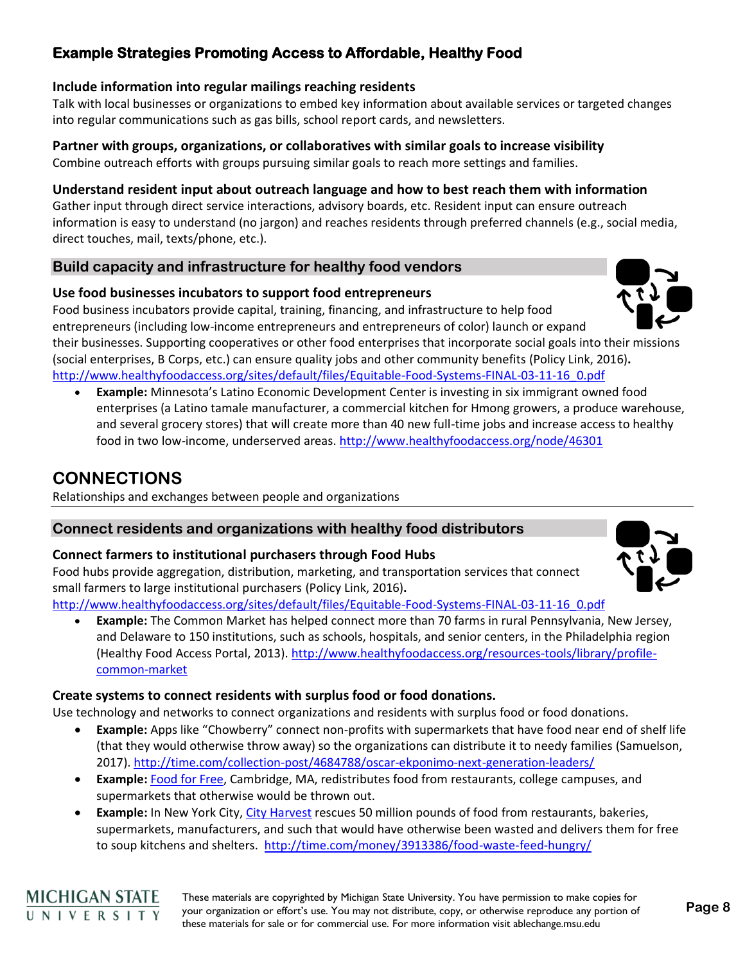### **Include information into regular mailings reaching residents**

Talk with local businesses or organizations to embed key information about available services or targeted changes into regular communications such as gas bills, school report cards, and newsletters.

### **Partner with groups, organizations, or collaboratives with similar goals to increase visibility**

Combine outreach efforts with groups pursuing similar goals to reach more settings and families.

### **Understand resident input about outreach language and how to best reach them with information**

Gather input through direct service interactions, advisory boards, etc. Resident input can ensure outreach information is easy to understand (no jargon) and reaches residents through preferred channels (e.g., social media, direct touches, mail, texts/phone, etc.).

### **Build capacity and infrastructure for healthy food vendors**

### **Use food businesses incubators to support food entrepreneurs**

Food business incubators provide capital, training, financing, and infrastructure to help food entrepreneurs (including low-income entrepreneurs and entrepreneurs of color) launch or expand their businesses. Supporting cooperatives or other food enterprises that incorporate social goals into their missions (social enterprises, B Corps, etc.) can ensure quality jobs and other community benefits (Policy Link, 2016)**.**  [http://www.healthyfoodaccess.org/sites/default/files/Equitable-Food-Systems-FINAL-03-11-16\\_0.pdf](http://www.healthyfoodaccess.org/sites/default/files/Equitable-Food-Systems-FINAL-03-11-16_0.pdf)

• **Example:** Minnesota's Latino Economic Development Center is investing in six immigrant owned food enterprises (a Latino tamale manufacturer, a commercial kitchen for Hmong growers, a produce warehouse, and several grocery stores) that will create more than 40 new full-time jobs and increase access to healthy food in two low-income, underserved areas. <http://www.healthyfoodaccess.org/node/46301>

# **CONNECTIONS**

Relationships and exchanges between people and organizations

### **Connect residents and organizations with healthy food distributors**

### **Connect farmers to institutional purchasers through Food Hubs**

Food hubs provide aggregation, distribution, marketing, and transportation services that connect small farmers to large institutional purchasers (Policy Link, 2016)**.** 

[http://www.healthyfoodaccess.org/sites/default/files/Equitable-Food-Systems-FINAL-03-11-16\\_0.pdf](http://www.healthyfoodaccess.org/sites/default/files/Equitable-Food-Systems-FINAL-03-11-16_0.pdf)

• **Example:** The Common Market has helped connect more than 70 farms in rural Pennsylvania, New Jersey, and Delaware to 150 institutions, such as schools, hospitals, and senior centers, in the Philadelphia region (Healthy Food Access Portal, 2013). [http://www.healthyfoodaccess.org/resources-tools/library/profile](http://www.healthyfoodaccess.org/resources-tools/library/profile-common-market)[common-market](http://www.healthyfoodaccess.org/resources-tools/library/profile-common-market)

### **Create systems to connect residents with surplus food or food donations.**

Use technology and networks to connect organizations and residents with surplus food or food donations.

- **Example:** Apps like "Chowberry" connect non-profits with supermarkets that have food near end of shelf life (that they would otherwise throw away) so the organizations can distribute it to needy families (Samuelson, 2017).<http://time.com/collection-post/4684788/oscar-ekponimo-next-generation-leaders/>
- **Example:** [Food for Free,](http://www.foodforfree.org/) Cambridge, MA, redistributes food from restaurants, college campuses, and supermarkets that otherwise would be thrown out.
- **Example:** In New York City, [City Harvest](http://www.cityharvest.org/programs/food-rescue) rescues 50 million pounds of food from restaurants, bakeries, supermarkets, manufacturers, and such that would have otherwise been wasted and delivers them for free to soup kitchens and shelters. <http://time.com/money/3913386/food-waste-feed-hungry/>







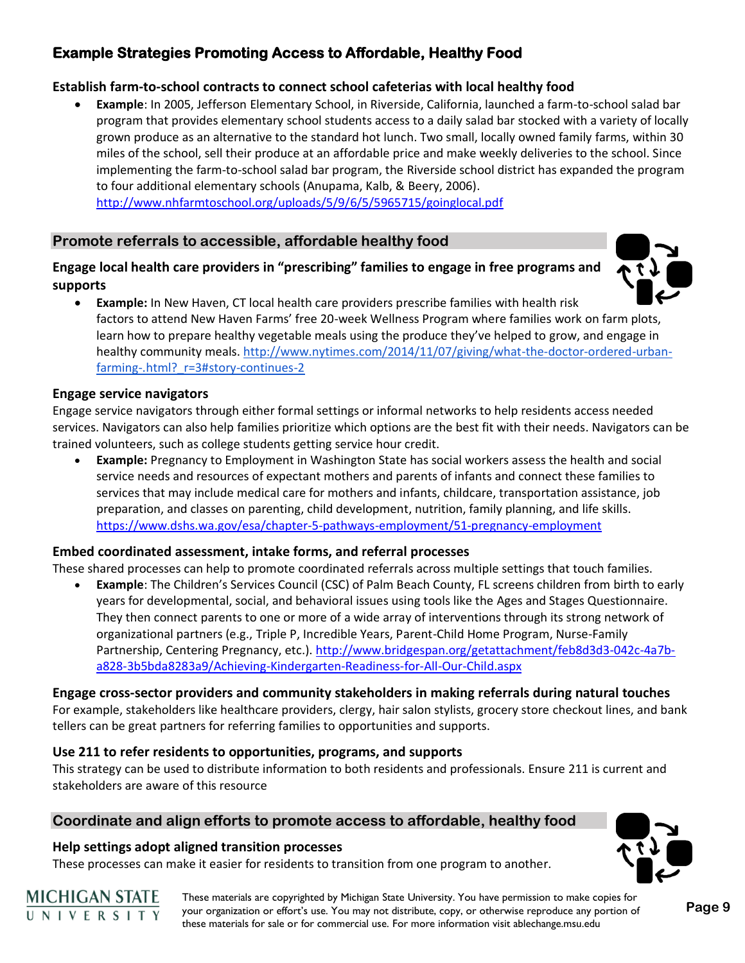### **Establish farm-to-school contracts to connect school cafeterias with local healthy food**

• **Example**: In 2005, Jefferson Elementary School, in Riverside, California, launched a farm-to-school salad bar program that provides elementary school students access to a daily salad bar stocked with a variety of locally grown produce as an alternative to the standard hot lunch. Two small, locally owned family farms, within 30 miles of the school, sell their produce at an affordable price and make weekly deliveries to the school. Since implementing the farm-to-school salad bar program, the Riverside school district has expanded the program to four additional elementary schools (Anupama, Kalb, & Beery, 2006). <http://www.nhfarmtoschool.org/uploads/5/9/6/5/5965715/goinglocal.pdf>

### **Promote referrals to accessible, affordable healthy food**

### **Engage local health care providers in "prescribing" families to engage in free programs and supports**



• **Example:** In New Haven, CT local health care providers prescribe families with health risk factors to attend New Haven Farms' free 20-week Wellness Program where families work on farm plots, learn how to prepare healthy vegetable meals using the produce they've helped to grow, and engage in healthy community meals. [http://www.nytimes.com/2014/11/07/giving/what-the-doctor-ordered-urban](http://www.nytimes.com/2014/11/07/giving/what-the-doctor-ordered-urban-farming-.html?_r=3#story-continues-2)[farming-.html?\\_r=3#story-continues-2](http://www.nytimes.com/2014/11/07/giving/what-the-doctor-ordered-urban-farming-.html?_r=3#story-continues-2)

### **Engage service navigators**

Engage service navigators through either formal settings or informal networks to help residents access needed services. Navigators can also help families prioritize which options are the best fit with their needs. Navigators can be trained volunteers, such as college students getting service hour credit.

• **Example:** Pregnancy to Employment in Washington State has social workers assess the health and social service needs and resources of expectant mothers and parents of infants and connect these families to services that may include medical care for mothers and infants, childcare, transportation assistance, job preparation, and classes on parenting, child development, nutrition, family planning, and life skills. <https://www.dshs.wa.gov/esa/chapter-5-pathways-employment/51-pregnancy-employment>

### **Embed coordinated assessment, intake forms, and referral processes**

These shared processes can help to promote coordinated referrals across multiple settings that touch families.

• **Example**: The Children's Services Council (CSC) of Palm Beach County, FL screens children from birth to early years for developmental, social, and behavioral issues using tools like the Ages and Stages Questionnaire. They then connect parents to one or more of a wide array of interventions through its strong network of organizational partners (e.g., Triple P, Incredible Years, Parent-Child Home Program, Nurse-Family Partnership, Centering Pregnancy, etc.). [http://www.bridgespan.org/getattachment/feb8d3d3-042c-4a7b](http://www.bridgespan.org/getattachment/feb8d3d3-042c-4a7b-a828-3b5bda8283a9/Achieving-Kindergarten-Readiness-for-All-Our-Child.aspx)[a828-3b5bda8283a9/Achieving-Kindergarten-Readiness-for-All-Our-Child.aspx](http://www.bridgespan.org/getattachment/feb8d3d3-042c-4a7b-a828-3b5bda8283a9/Achieving-Kindergarten-Readiness-for-All-Our-Child.aspx)

### **Engage cross-sector providers and community stakeholders in making referrals during natural touches**

For example, stakeholders like healthcare providers, clergy, hair salon stylists, grocery store checkout lines, and bank tellers can be great partners for referring families to opportunities and supports.

### **Use 211 to refer residents to opportunities, programs, and supports**

This strategy can be used to distribute information to both residents and professionals. Ensure 211 is current and stakeholders are aware of this resource

### **Coordinate and align efforts to promote access to affordable, healthy food**

### **Help settings adopt aligned transition processes**

These processes can make it easier for residents to transition from one program to another.

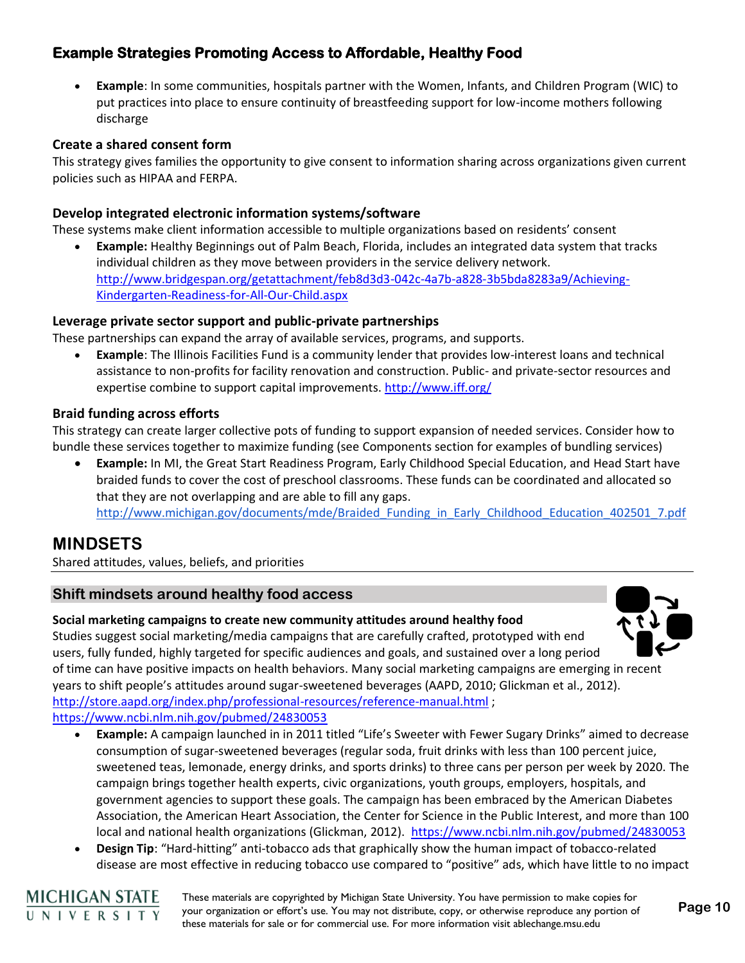• **Example**: In some communities, hospitals partner with the Women, Infants, and Children Program (WIC) to put practices into place to ensure continuity of breastfeeding support for low-income mothers following discharge

#### **Create a shared consent form**

This strategy gives families the opportunity to give consent to information sharing across organizations given current policies such as HIPAA and FERPA.

### **Develop integrated electronic information systems/software**

These systems make client information accessible to multiple organizations based on residents' consent

• **Example:** Healthy Beginnings out of Palm Beach, Florida, includes an integrated data system that tracks individual children as they move between providers in the service delivery network. [http://www.bridgespan.org/getattachment/feb8d3d3-042c-4a7b-a828-3b5bda8283a9/Achieving-](http://www.bridgespan.org/getattachment/feb8d3d3-042c-4a7b-a828-3b5bda8283a9/Achieving-Kindergarten-Readiness-for-All-Our-Child.aspx)[Kindergarten-Readiness-for-All-Our-Child.aspx](http://www.bridgespan.org/getattachment/feb8d3d3-042c-4a7b-a828-3b5bda8283a9/Achieving-Kindergarten-Readiness-for-All-Our-Child.aspx)

#### **Leverage private sector support and public-private partnerships**

These partnerships can expand the array of available services, programs, and supports.

• **Example**: The Illinois Facilities Fund is a community lender that provides low-interest loans and technical assistance to non-profits for facility renovation and construction. Public- and private-sector resources and expertise combine to support capital improvements.<http://www.iff.org/>

#### **Braid funding across efforts**

This strategy can create larger collective pots of funding to support expansion of needed services. Consider how to bundle these services together to maximize funding (see Components section for examples of bundling services)

• **Example:** In MI, the Great Start Readiness Program, Early Childhood Special Education, and Head Start have braided funds to cover the cost of preschool classrooms. These funds can be coordinated and allocated so that they are not overlapping and are able to fill any gaps. [http://www.michigan.gov/documents/mde/Braided\\_Funding\\_in\\_Early\\_Childhood\\_Education\\_402501\\_7.pdf](http://www.michigan.gov/documents/mde/Braided_Funding_in_Early_Childhood_Education_402501_7.pdf)

## **MINDSETS**

Shared attitudes, values, beliefs, and priorities

### **Shift mindsets around healthy food access**

#### **Social marketing campaigns to create new community attitudes around healthy food**

Studies suggest social marketing/media campaigns that are carefully crafted, prototyped with end users, fully funded, highly targeted for specific audiences and goals, and sustained over a long period of time can have positive impacts on health behaviors. Many social marketing campaigns are emerging in recent years to shift people's attitudes around sugar-sweetened beverages (AAPD, 2010; Glickman et al., 2012). <http://store.aapd.org/index.php/professional-resources/reference-manual.html>;

<https://www.ncbi.nlm.nih.gov/pubmed/24830053>

- **Example:** A campaign launched in in 2011 titled "Life's Sweeter with Fewer Sugary Drinks" aimed to decrease consumption of sugar-sweetened beverages (regular soda, fruit drinks with less than 100 percent juice, sweetened teas, lemonade, energy drinks, and sports drinks) to three cans per person per week by 2020. The campaign brings together health experts, civic organizations, youth groups, employers, hospitals, and government agencies to support these goals. The campaign has been embraced by the American Diabetes Association, the American Heart Association, the Center for Science in the Public Interest, and more than 100 local and national health organizations (Glickman, 2012). <https://www.ncbi.nlm.nih.gov/pubmed/24830053>
- **Design Tip**: "Hard-hitting" anti-tobacco ads that graphically show the human impact of tobacco-related disease are most effective in reducing tobacco use compared to "positive" ads, which have little to no impact



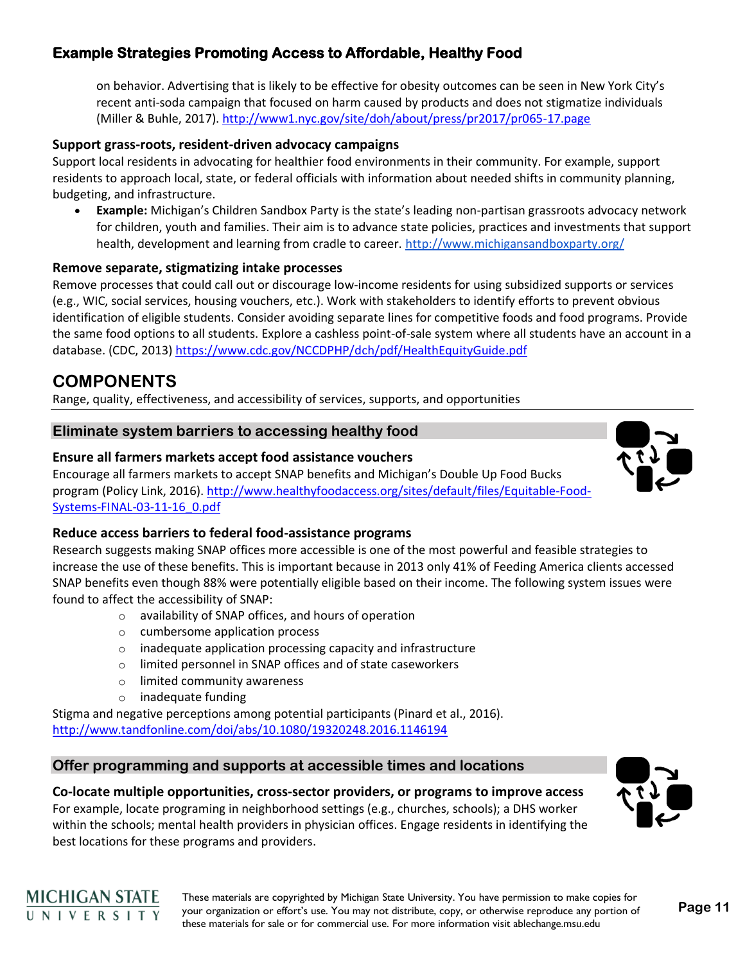on behavior. Advertising that is likely to be effective for obesity outcomes can be seen in New York City's recent anti-soda campaign that focused on harm caused by products and does not stigmatize individuals (Miller & Buhle, 2017).<http://www1.nyc.gov/site/doh/about/press/pr2017/pr065-17.page>

### **Support grass-roots, resident-driven advocacy campaigns**

Support local residents in advocating for healthier food environments in their community. For example, support residents to approach local, state, or federal officials with information about needed shifts in community planning, budgeting, and infrastructure.

• **Example:** Michigan's Children Sandbox Party is the state's leading non-partisan grassroots advocacy network for children, youth and families. Their aim is to advance state policies, practices and investments that support health, development and learning from cradle to career.<http://www.michigansandboxparty.org/>

### **Remove separate, stigmatizing intake processes**

Remove processes that could call out or discourage low-income residents for using subsidized supports or services (e.g., WIC, social services, housing vouchers, etc.). Work with stakeholders to identify efforts to prevent obvious identification of eligible students. Consider avoiding separate lines for competitive foods and food programs. Provide the same food options to all students. Explore a cashless point-of-sale system where all students have an account in a database. (CDC, 2013)<https://www.cdc.gov/NCCDPHP/dch/pdf/HealthEquityGuide.pdf>

# **COMPONENTS**

Range, quality, effectiveness, and accessibility of services, supports, and opportunities

### **Eliminate system barriers to accessing healthy food**

### **Ensure all farmers markets accept food assistance vouchers**

Encourage all farmers markets to accept SNAP benefits and Michigan's Double Up Food Bucks program (Policy Link, 2016). [http://www.healthyfoodaccess.org/sites/default/files/Equitable-Food-](http://www.healthyfoodaccess.org/sites/default/files/Equitable-Food-Systems-FINAL-03-11-16_0.pdf)[Systems-FINAL-03-11-16\\_0.pdf](http://www.healthyfoodaccess.org/sites/default/files/Equitable-Food-Systems-FINAL-03-11-16_0.pdf)

### **Reduce access barriers to federal food-assistance programs**

Research suggests making SNAP offices more accessible is one of the most powerful and feasible strategies to increase the use of these benefits. This is important because in 2013 only 41% of Feeding America clients accessed SNAP benefits even though 88% were potentially eligible based on their income. The following system issues were found to affect the accessibility of SNAP:

- o availability of SNAP offices, and hours of operation
- o cumbersome application process
- o inadequate application processing capacity and infrastructure
- o limited personnel in SNAP offices and of state caseworkers
- o limited community awareness
- o inadequate funding

Stigma and negative perceptions among potential participants (Pinard et al., 2016). <http://www.tandfonline.com/doi/abs/10.1080/19320248.2016.1146194>

### **Offer programming and supports at accessible times and locations**

**Co-locate multiple opportunities, cross-sector providers, or programs to improve access** For example, locate programing in neighborhood settings (e.g., churches, schools); a DHS worker within the schools; mental health providers in physician offices. Engage residents in identifying the





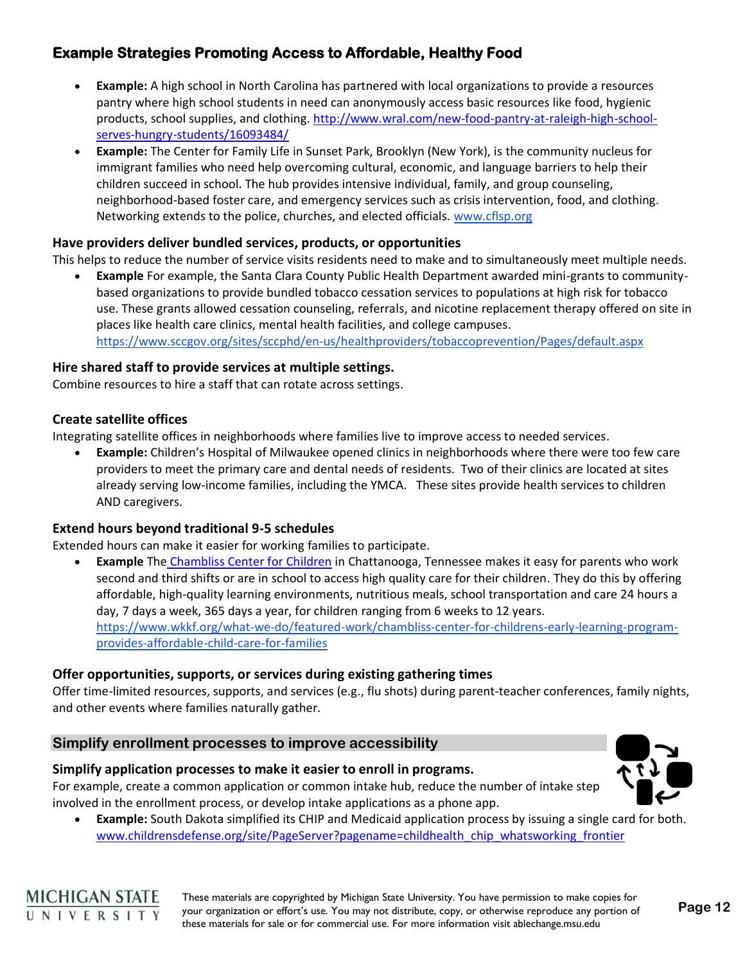- **Example:** A high school in North Carolina has partnered with local organizations to provide a resources pantry where high school students in need can anonymously access basic resources like food, hygienic products, school supplies, and clothing. [http://www.wral.com/new-food-pantry-at-raleigh-high-school](http://www.wral.com/new-food-pantry-at-raleigh-high-school-serves-hungry-students/16093484/)[serves-hungry-students/16093484/](http://www.wral.com/new-food-pantry-at-raleigh-high-school-serves-hungry-students/16093484/)
- **Example:** The Center for Family Life in Sunset Park, Brooklyn (New York), is the community nucleus for immigrant families who need help overcoming cultural, economic, and language barriers to help their children succeed in school. The hub provides intensive individual, family, and group counseling, neighborhood-based foster care, and emergency services such as crisis intervention, food, and clothing. Networking extends to the police, churches, and elected officials. [www.cflsp.org](http://www.cflsp.org/)

### **Have providers deliver bundled services, products, or opportunities**

This helps to reduce the number of service visits residents need to make and to simultaneously meet multiple needs.

• **Example** For example, the Santa Clara County Public Health Department awarded mini-grants to communitybased organizations to provide bundled tobacco cessation services to populations at high risk for tobacco use. These grants allowed cessation counseling, referrals, and nicotine replacement therapy offered on site in places like health care clinics, mental health facilities, and college campuses. <https://www.sccgov.org/sites/sccphd/en-us/healthproviders/tobaccoprevention/Pages/default.aspx>

#### **Hire shared staff to provide services at multiple settings.**

Combine resources to hire a staff that can rotate across settings.

#### **Create satellite offices**

Integrating satellite offices in neighborhoods where families live to improve access to needed services.

• **Example:** Children's Hospital of Milwaukee opened clinics in neighborhoods where there were too few care providers to meet the primary care and dental needs of residents. Two of their clinics are located at sites already serving low-income families, including the YMCA. These sites provide health services to children AND caregivers.

### **Extend hours beyond traditional 9-5 schedules**

Extended hours can make it easier for working families to participate.

• **Example** Th[e](http://www.chamblisscenter.org/) [Chambliss Center for Children](http://www.chamblisscenter.org/) in Chattanooga, Tennessee makes it easy for parents who work second and third shifts or are in school to access high quality care for their children. They do this by offering affordable, high-quality learning environments, nutritious meals, school transportation and care 24 hours a day, 7 days a week, 365 days a year, for children ranging from 6 weeks to 12 years. [https://www.wkkf.org/what-we-do/featured-work/chambliss-center-for-childrens-early-learning-program](https://www.wkkf.org/what-we-do/featured-work/chambliss-center-for-childrens-early-learning-program-provides-affordable-child-care-for-families)[provides-affordable-child-care-for-families](https://www.wkkf.org/what-we-do/featured-work/chambliss-center-for-childrens-early-learning-program-provides-affordable-child-care-for-families)

#### **Offer opportunities, supports, or services during existing gathering times**

Offer time-limited resources, supports, and services (e.g., flu shots) during parent-teacher conferences, family nights, and other events where families naturally gather.

### **Simplify enrollment processes to improve accessibility**

#### **Simplify application processes to make it easier to enroll in programs.**

For example, create a common application or common intake hub, reduce the number of intake step involved in the enrollment process, or develop intake applications as a phone app.

• **Example:** South Dakota simplified its CHIP and Medicaid application process by issuing a single card for both. [www.childrensdefense.org/site/PageServer?pagename=childhealth\\_chip\\_whatsworking\\_frontier](http://www.childrensdefense.org/site/PageServer?pagename=childhealth_chip_whatsworking_frontier)